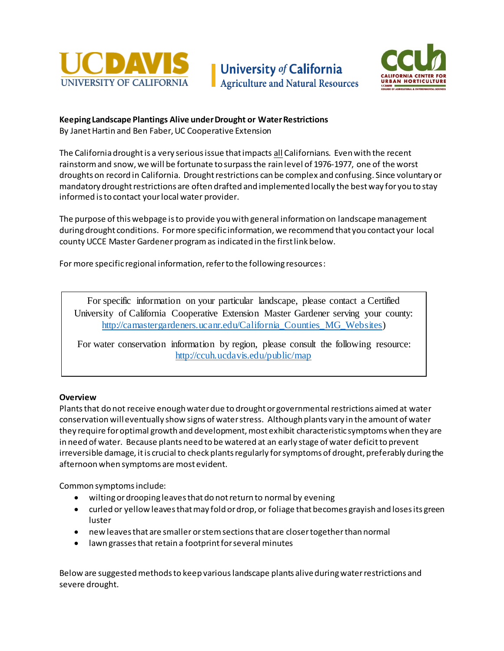





## **Keeping Landscape Plantings Alive under Drought or Water Restrictions** By Janet Hartin and Ben Faber, UC Cooperative Extension

The California drought is a very serious issue that impacts all Californians. Even with the recent rainstorm and snow, we will be fortunate to surpass the rain level of 1976-1977, one of the worst droughts on record in California. Drought restrictions can be complex and confusing. Since voluntary or mandatory drought restrictions are often drafted and implemented locally the best way for you to stay informed is to contact your local water provider.

The purpose of this webpage is to provide you with general information on landscape management during drought conditions. For more specific information, we recommend that you contact your local county UCCE Master Gardener program as indicated in the first link below.

For more specific regional information, refer to the following resources:

For specific information on your particular landscape, please contact a Certified University of California Cooperative Extension Master Gardener serving your county: [http://camastergardeners.ucanr.edu/California\\_Counties\\_MG\\_Websites\)](http://camastergardeners.ucanr.edu/California_Counties_MG_Websites)

For water conservation information by region, please consult the following resource: <http://ccuh.ucdavis.edu/public/map>

## **Overview**

Plants that do not receive enough water due to drought or governmental restrictions aimed at water conservation will eventually show signs of water stress. Although plants vary in the amount of water they require for optimal growth and development, most exhibit characteristic symptoms when they are in need of water. Because plants need to be watered at an early stage of water deficit to prevent irreversible damage, it is crucial to check plants regularly for symptoms of drought, preferably during the afternoon when symptoms are most evident.

Common symptoms include:

- wilting or drooping leaves that do not return to normal by evening
- curled or yellow leaves that may fold or drop, or foliage that becomes grayish and loses its green luster
- new leaves that are smaller or stem sections that are closer together than normal
- lawn grasses that retain a footprint for several minutes

Below are suggested methods to keep various landscape plants alive during water restrictions and severe drought.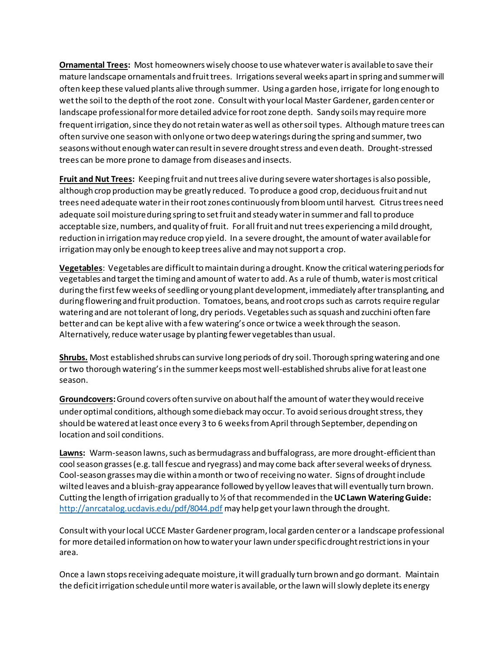**Ornamental Trees:** Most homeowners wisely choose to use whatever water is available to save their mature landscape ornamentals and fruit trees. Irrigationsseveral weeks apart in spring and summer will often keep these valued plants alive through summer. Using a garden hose, irrigate for long enough to wet the soil to the depth of the root zone. Consult with your local Master Gardener, garden center or landscape professional for more detailed advice for root zone depth. Sandy soils may require more frequent irrigation, since they do not retain water as well as other soil types. Although mature trees can often survive one season with only one or two deep waterings during the spring and summer, two seasons without enough water can result in severe drought stress and even death. Drought-stressed trees can be more prone to damage from diseases and insects.

**Fruit and Nut Trees:** Keeping fruit and nut trees alive during severe water shortages is also possible, although crop production may be greatly reduced. To produce a good crop, deciduous fruit and nut trees need adequate water in their root zones continuously from bloom until harvest. Citrus trees need adequate soil moisture during spring to set fruit and steady water in summer and fall to produce acceptable size, numbers, and quality of fruit. For all fruit and nut trees experiencing a mild drought, reduction in irrigation may reduce crop yield. In a severe drought, the amount of water available for irrigation may only be enough to keep trees alive and may not support a crop.

**Vegetables**: Vegetables are difficult to maintain during a drought. Know the critical watering periods for vegetables and targetthe timing and amount of water to add. As a rule of thumb, water is most critical during the first few weeks of seedling or young plant development, immediately after transplanting, and during flowering and fruit production. Tomatoes, beans, and root crops such as carrots require regular watering and are not tolerant of long, dry periods. Vegetables such as squash and zucchini often fare better and can be kept alive with a few watering's once or twice a week through the season. Alternatively, reduce water usage by planting fewer vegetables than usual.

**Shrubs.** Most established shrubs can survive long periods of dry soil. Thorough spring watering and one or two thorough watering'sin the summer keeps most well-established shrubs alive for at least one season.

**Groundcovers:** Ground covers often survive on about half the amount of water they would receive under optimal conditions, although some dieback may occur. To avoid serious drought stress, they should be watered at least once every 3 to 6 weeks from April through September, depending on location and soil conditions.

**Lawns:** Warm-season lawns, such as bermudagrass and buffalograss, are more drought-efficient than cool season grasses (e.g. tall fescue and ryegrass) and may come back after several weeks of dryness. Cool-season grasses may die within a month or two of receiving no water. Signs of drought include wilted leaves and a bluish-gray appearance followed by yellow leaves that will eventually turn brown. Cutting the length of irrigation gradually to ½ of that recommended in the **[UC Lawn Watering Guide:](file://ANROCS-SERVER1/ANRMGUnit/01_Master%20Gardener%20Shared/Resources/Drought/UC%20Lawn%20Watering%20Guide:%20)** http://anrcatalog.ucdavis.edu/pdf/8044.pdf may help get your lawn through the drought.

Consult with your local UCCE Master Gardener program, local garden center or a landscape professional for more detailed information on how to water your lawn under specific drought restrictions in your area.

Once a lawn stops receiving adequate moisture, it will gradually turn brown and go dormant. Maintain the deficit irrigation schedule until more water is available, or the lawn will slowly deplete its energy